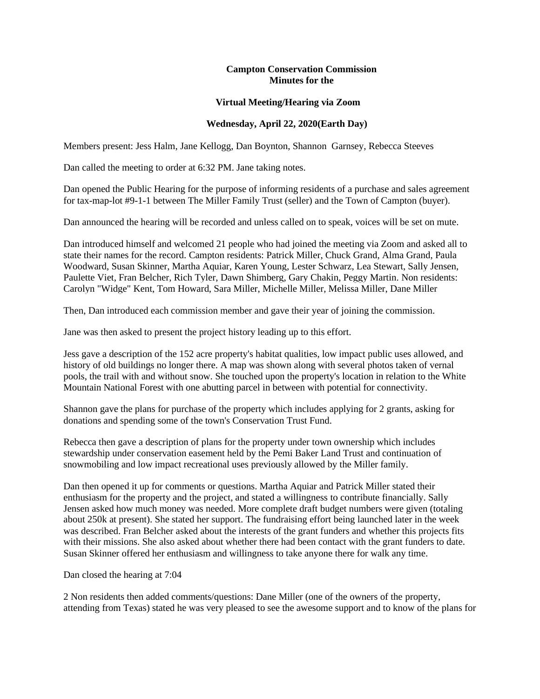## **Campton Conservation Commission Minutes for the**

## **Virtual Meeting/Hearing via Zoom**

## **Wednesday, April 22, 2020(Earth Day)**

Members present: Jess Halm, Jane Kellogg, Dan Boynton, Shannon Garnsey, Rebecca Steeves

Dan called the meeting to order at 6:32 PM. Jane taking notes.

Dan opened the Public Hearing for the purpose of informing residents of a purchase and sales agreement for tax-map-lot #9-1-1 between The Miller Family Trust (seller) and the Town of Campton (buyer).

Dan announced the hearing will be recorded and unless called on to speak, voices will be set on mute.

Dan introduced himself and welcomed 21 people who had joined the meeting via Zoom and asked all to state their names for the record. Campton residents: Patrick Miller, Chuck Grand, Alma Grand, Paula Woodward, Susan Skinner, Martha Aquiar, Karen Young, Lester Schwarz, Lea Stewart, Sally Jensen, Paulette Viet, Fran Belcher, Rich Tyler, Dawn Shimberg, Gary Chakin, Peggy Martin. Non residents: Carolyn "Widge" Kent, Tom Howard, Sara Miller, Michelle Miller, Melissa Miller, Dane Miller

Then, Dan introduced each commission member and gave their year of joining the commission.

Jane was then asked to present the project history leading up to this effort.

Jess gave a description of the 152 acre property's habitat qualities, low impact public uses allowed, and history of old buildings no longer there. A map was shown along with several photos taken of vernal pools, the trail with and without snow. She touched upon the property's location in relation to the White Mountain National Forest with one abutting parcel in between with potential for connectivity.

Shannon gave the plans for purchase of the property which includes applying for 2 grants, asking for donations and spending some of the town's Conservation Trust Fund.

Rebecca then gave a description of plans for the property under town ownership which includes stewardship under conservation easement held by the Pemi Baker Land Trust and continuation of snowmobiling and low impact recreational uses previously allowed by the Miller family.

Dan then opened it up for comments or questions. Martha Aquiar and Patrick Miller stated their enthusiasm for the property and the project, and stated a willingness to contribute financially. Sally Jensen asked how much money was needed. More complete draft budget numbers were given (totaling about 250k at present). She stated her support. The fundraising effort being launched later in the week was described. Fran Belcher asked about the interests of the grant funders and whether this projects fits with their missions. She also asked about whether there had been contact with the grant funders to date. Susan Skinner offered her enthusiasm and willingness to take anyone there for walk any time.

Dan closed the hearing at 7:04

2 Non residents then added comments/questions: Dane Miller (one of the owners of the property, attending from Texas) stated he was very pleased to see the awesome support and to know of the plans for